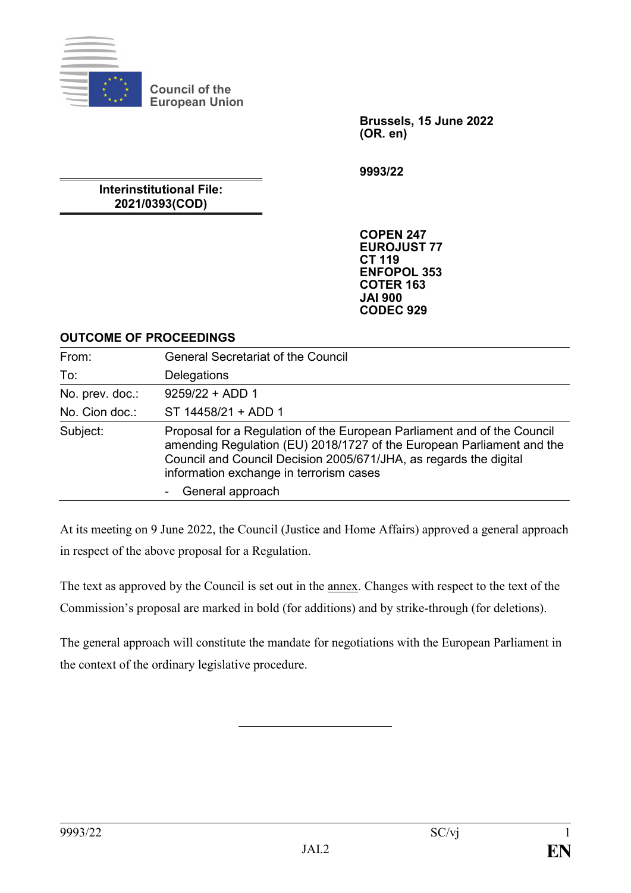

**Council of the European Union**

> **Brussels, 15 June 2022 (OR. en)**

**9993/22**

#### **Interinstitutional File: 2021/0393(COD)**

**COPEN 247 EUROJUST 77 CT 119 ENFOPOL 353 COTER 163 JAI 900 CODEC 929**

#### **OUTCOME OF PROCEEDINGS**

| From:           | <b>General Secretariat of the Council</b>                                                                                                                                                                                                                        |
|-----------------|------------------------------------------------------------------------------------------------------------------------------------------------------------------------------------------------------------------------------------------------------------------|
| To:             | Delegations                                                                                                                                                                                                                                                      |
| No. prev. doc.: | $9259/22 + ADD 1$                                                                                                                                                                                                                                                |
| No. Cion doc.:  | ST 14458/21 + ADD 1                                                                                                                                                                                                                                              |
| Subject:        | Proposal for a Regulation of the European Parliament and of the Council<br>amending Regulation (EU) 2018/1727 of the European Parliament and the<br>Council and Council Decision 2005/671/JHA, as regards the digital<br>information exchange in terrorism cases |
|                 | General approach                                                                                                                                                                                                                                                 |

At its meeting on 9 June 2022, the Council (Justice and Home Affairs) approved a general approach in respect of the above proposal for a Regulation.

The text as approved by the Council is set out in the annex. Changes with respect to the text of the Commission's proposal are marked in bold (for additions) and by strike-through (for deletions).

The general approach will constitute the mandate for negotiations with the European Parliament in the context of the ordinary legislative procedure.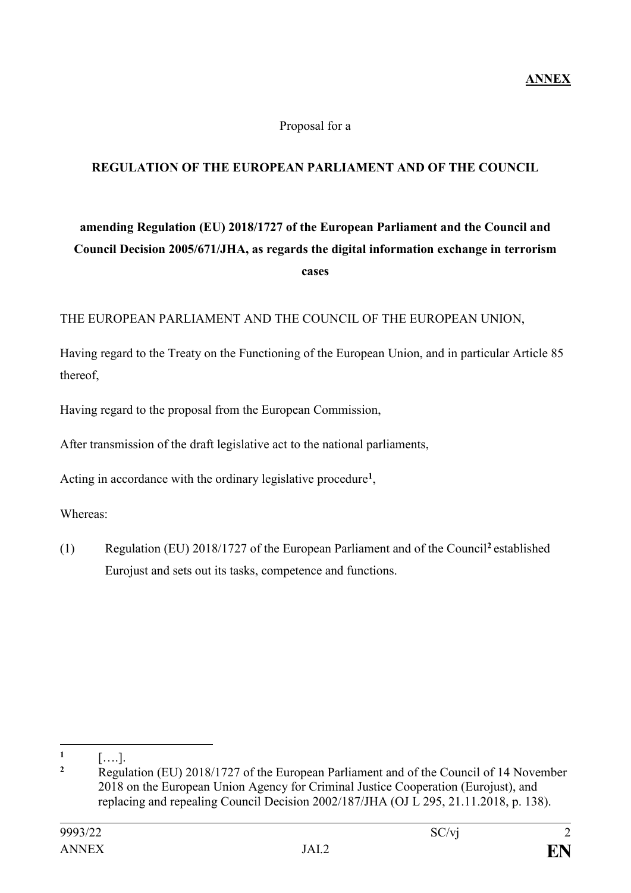#### Proposal for a

## **REGULATION OF THE EUROPEAN PARLIAMENT AND OF THE COUNCIL**

# **amending Regulation (EU) 2018/1727 of the European Parliament and the Council and Council Decision 2005/671/JHA, as regards the digital information exchange in terrorism cases**

#### THE EUROPEAN PARLIAMENT AND THE COUNCIL OF THE EUROPEAN UNION,

Having regard to the Treaty on the Functioning of the European Union, and in particular Article 85 thereof,

Having regard to the proposal from the European Commission,

After transmission of the draft legislative act to the national parliaments,

Acting in accordance with the ordinary legislative procedure**<sup>1</sup>** ,

Whereas:

(1) Regulation (EU) 2018/1727 of the European Parliament and of the Council**<sup>2</sup>** established Eurojust and sets out its tasks, competence and functions.

1

**<sup>1</sup>** [….].

**<sup>2</sup>** Regulation (EU) 2018/1727 of the European Parliament and of the Council of 14 November 2018 on the European Union Agency for Criminal Justice Cooperation (Eurojust), and replacing and repealing Council Decision 2002/187/JHA (OJ L 295, 21.11.2018, p. 138).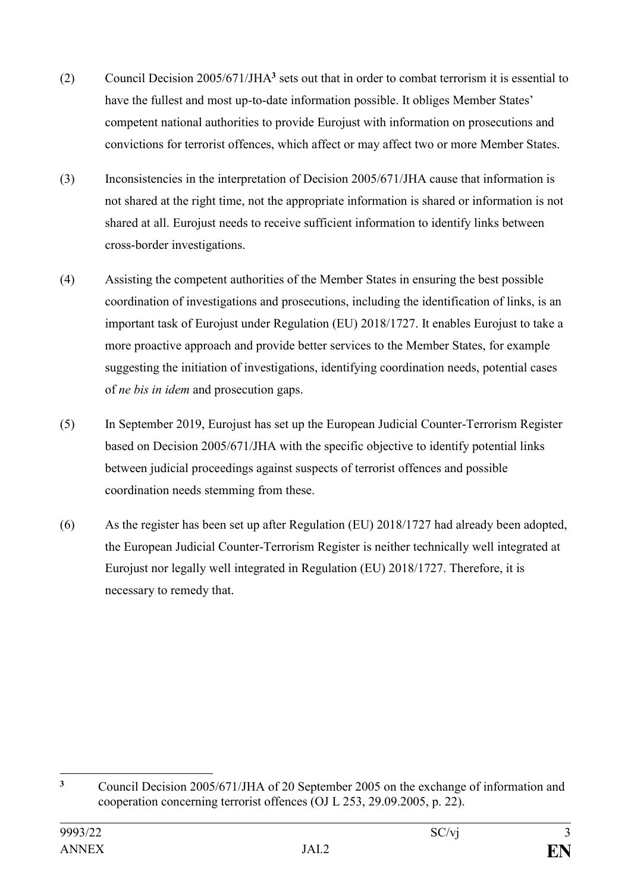- (2) Council Decision 2005/671/JHA**<sup>3</sup>** sets out that in order to combat terrorism it is essential to have the fullest and most up-to-date information possible. It obliges Member States' competent national authorities to provide Eurojust with information on prosecutions and convictions for terrorist offences, which affect or may affect two or more Member States.
- (3) Inconsistencies in the interpretation of Decision 2005/671/JHA cause that information is not shared at the right time, not the appropriate information is shared or information is not shared at all. Eurojust needs to receive sufficient information to identify links between cross-border investigations.
- (4) Assisting the competent authorities of the Member States in ensuring the best possible coordination of investigations and prosecutions, including the identification of links, is an important task of Eurojust under Regulation (EU) 2018/1727. It enables Eurojust to take a more proactive approach and provide better services to the Member States, for example suggesting the initiation of investigations, identifying coordination needs, potential cases of *ne bis in idem* and prosecution gaps.
- (5) In September 2019, Eurojust has set up the European Judicial Counter-Terrorism Register based on Decision 2005/671/JHA with the specific objective to identify potential links between judicial proceedings against suspects of terrorist offences and possible coordination needs stemming from these.
- (6) As the register has been set up after Regulation (EU) 2018/1727 had already been adopted, the European Judicial Counter-Terrorism Register is neither technically well integrated at Eurojust nor legally well integrated in Regulation (EU) 2018/1727. Therefore, it is necessary to remedy that.

 $\overline{3}$ **<sup>3</sup>** Council Decision 2005/671/JHA of 20 September 2005 on the exchange of information and cooperation concerning terrorist offences (OJ L 253, 29.09.2005, p. 22).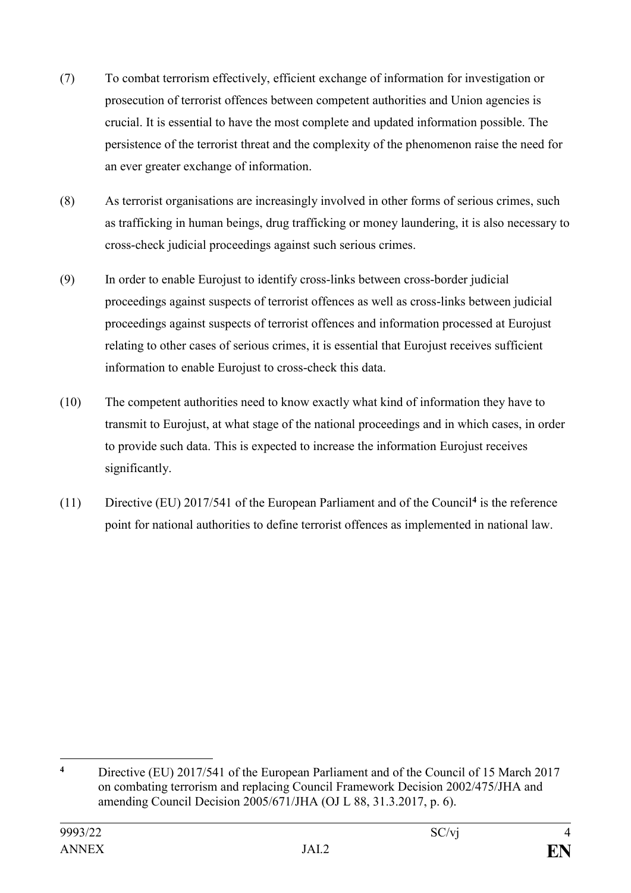- (7) To combat terrorism effectively, efficient exchange of information for investigation or prosecution of terrorist offences between competent authorities and Union agencies is crucial. It is essential to have the most complete and updated information possible. The persistence of the terrorist threat and the complexity of the phenomenon raise the need for an ever greater exchange of information.
- (8) As terrorist organisations are increasingly involved in other forms of serious crimes, such as trafficking in human beings, drug trafficking or money laundering, it is also necessary to cross-check judicial proceedings against such serious crimes.
- (9) In order to enable Eurojust to identify cross-links between cross-border judicial proceedings against suspects of terrorist offences as well as cross-links between judicial proceedings against suspects of terrorist offences and information processed at Eurojust relating to other cases of serious crimes, it is essential that Eurojust receives sufficient information to enable Eurojust to cross-check this data.
- (10) The competent authorities need to know exactly what kind of information they have to transmit to Eurojust, at what stage of the national proceedings and in which cases, in order to provide such data. This is expected to increase the information Eurojust receives significantly.
- (11) Directive (EU) 2017/541 of the European Parliament and of the Council**<sup>4</sup>** is the reference point for national authorities to define terrorist offences as implemented in national law.

1

**<sup>4</sup>** Directive (EU) 2017/541 of the European Parliament and of the Council of 15 March 2017 on combating terrorism and replacing Council Framework Decision 2002/475/JHA and amending Council Decision 2005/671/JHA (OJ L 88, 31.3.2017, p. 6).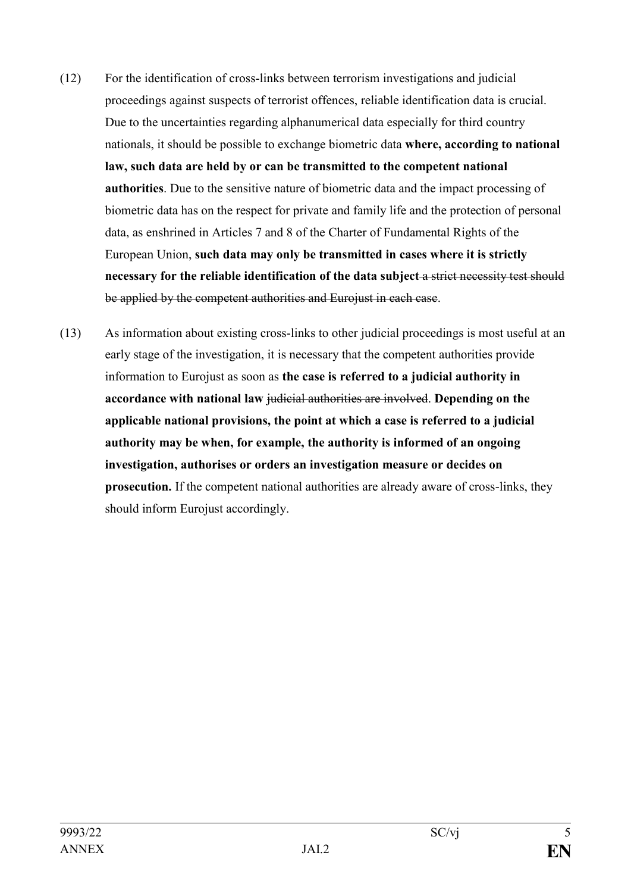- (12) For the identification of cross-links between terrorism investigations and judicial proceedings against suspects of terrorist offences, reliable identification data is crucial. Due to the uncertainties regarding alphanumerical data especially for third country nationals, it should be possible to exchange biometric data **where, according to national law, such data are held by or can be transmitted to the competent national authorities**. Due to the sensitive nature of biometric data and the impact processing of biometric data has on the respect for private and family life and the protection of personal data, as enshrined in Articles 7 and 8 of the Charter of Fundamental Rights of the European Union, **such data may only be transmitted in cases where it is strictly necessary for the reliable identification of the data subject** a strict necessity test should be applied by the competent authorities and Eurojust in each case.
- (13) As information about existing cross-links to other judicial proceedings is most useful at an early stage of the investigation, it is necessary that the competent authorities provide information to Eurojust as soon as **the case is referred to a judicial authority in accordance with national law** judicial authorities are involved. **Depending on the applicable national provisions, the point at which a case is referred to a judicial authority may be when, for example, the authority is informed of an ongoing investigation, authorises or orders an investigation measure or decides on prosecution.** If the competent national authorities are already aware of cross-links, they should inform Eurojust accordingly.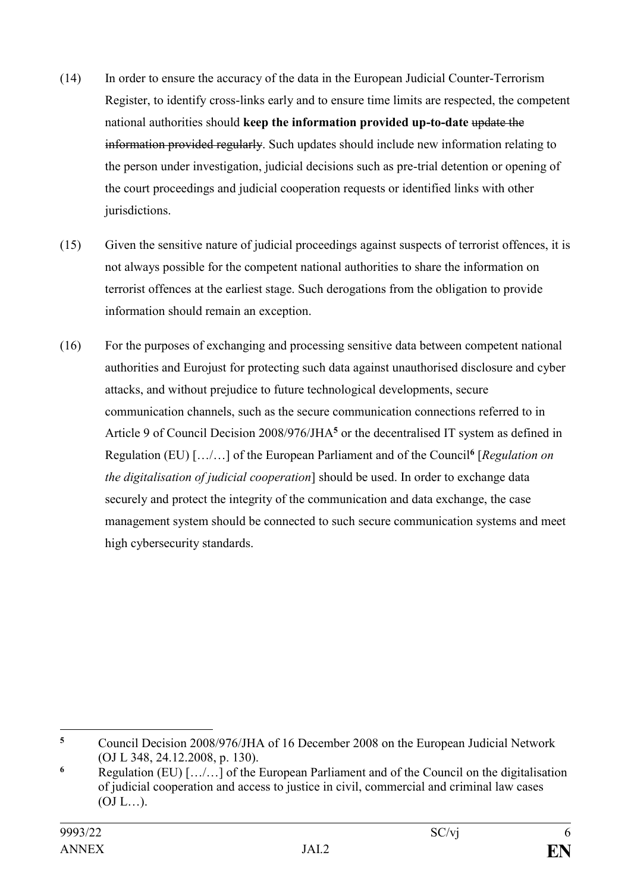- (14) In order to ensure the accuracy of the data in the European Judicial Counter-Terrorism Register, to identify cross-links early and to ensure time limits are respected, the competent national authorities should keep the information provided up-to-date update the information provided regularly. Such updates should include new information relating to the person under investigation, judicial decisions such as pre-trial detention or opening of the court proceedings and judicial cooperation requests or identified links with other jurisdictions.
- (15) Given the sensitive nature of judicial proceedings against suspects of terrorist offences, it is not always possible for the competent national authorities to share the information on terrorist offences at the earliest stage. Such derogations from the obligation to provide information should remain an exception.
- (16) For the purposes of exchanging and processing sensitive data between competent national authorities and Eurojust for protecting such data against unauthorised disclosure and cyber attacks, and without prejudice to future technological developments, secure communication channels, such as the secure communication connections referred to in Article 9 of Council Decision 2008/976/JHA**<sup>5</sup>** or the decentralised IT system as defined in Regulation (EU) […/…] of the European Parliament and of the Council**<sup>6</sup>** [*Regulation on the digitalisation of judicial cooperation*] should be used. In order to exchange data securely and protect the integrity of the communication and data exchange, the case management system should be connected to such secure communication systems and meet high cybersecurity standards.

1

**<sup>5</sup>** Council Decision 2008/976/JHA of 16 December 2008 on the European Judicial Network (OJ L 348, 24.12.2008, p. 130).

**<sup>6</sup>** Regulation (EU) […/…] of the European Parliament and of the Council on the digitalisation of judicial cooperation and access to justice in civil, commercial and criminal law cases  $(OJ L...).$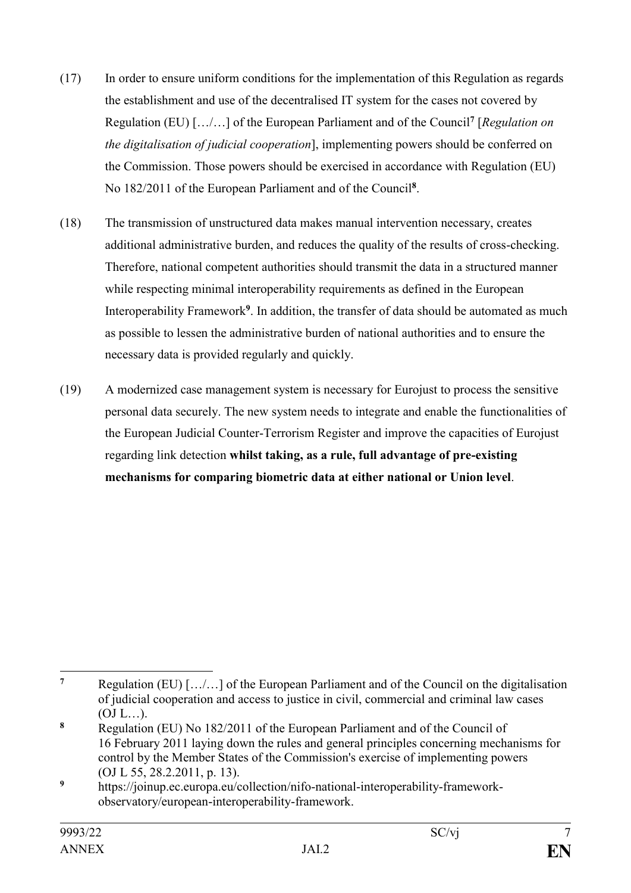- (17) In order to ensure uniform conditions for the implementation of this Regulation as regards the establishment and use of the decentralised IT system for the cases not covered by Regulation (EU) […/…] of the European Parliament and of the Council**<sup>7</sup>** [*Regulation on the digitalisation of judicial cooperation*], implementing powers should be conferred on the Commission. Those powers should be exercised in accordance with Regulation (EU) No 182/2011 of the European Parliament and of the Council**<sup>8</sup>** .
- (18) The transmission of unstructured data makes manual intervention necessary, creates additional administrative burden, and reduces the quality of the results of cross-checking. Therefore, national competent authorities should transmit the data in a structured manner while respecting minimal interoperability requirements as defined in the European Interoperability Framework**<sup>9</sup>** . In addition, the transfer of data should be automated as much as possible to lessen the administrative burden of national authorities and to ensure the necessary data is provided regularly and quickly.
- (19) A modernized case management system is necessary for Eurojust to process the sensitive personal data securely. The new system needs to integrate and enable the functionalities of the European Judicial Counter-Terrorism Register and improve the capacities of Eurojust regarding link detection **whilst taking, as a rule, full advantage of pre-existing mechanisms for comparing biometric data at either national or Union level**.

<sup>1</sup> **<sup>7</sup>** Regulation (EU) […/…] of the European Parliament and of the Council on the digitalisation of judicial cooperation and access to justice in civil, commercial and criminal law cases  $(OJ L...).$ 

**<sup>8</sup>** Regulation (EU) No 182/2011 of the European Parliament and of the Council of 16 February 2011 laying down the rules and general principles concerning mechanisms for control by the Member States of the Commission's exercise of implementing powers (OJ L 55, 28.2.2011, p. 13).

**<sup>9</sup>** https://joinup.ec.europa.eu/collection/nifo-national-interoperability-frameworkobservatory/european-interoperability-framework.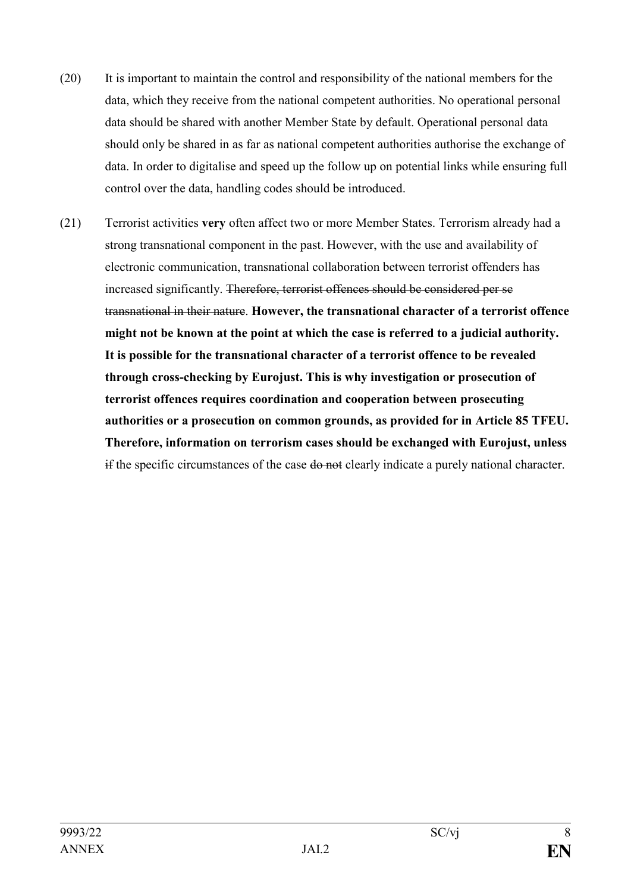- (20) It is important to maintain the control and responsibility of the national members for the data, which they receive from the national competent authorities. No operational personal data should be shared with another Member State by default. Operational personal data should only be shared in as far as national competent authorities authorise the exchange of data. In order to digitalise and speed up the follow up on potential links while ensuring full control over the data, handling codes should be introduced.
- (21) Terrorist activities **very** often affect two or more Member States. Terrorism already had a strong transnational component in the past. However, with the use and availability of electronic communication, transnational collaboration between terrorist offenders has increased significantly. Therefore, terrorist offences should be considered per se transnational in their nature. **However, the transnational character of a terrorist offence might not be known at the point at which the case is referred to a judicial authority. It is possible for the transnational character of a terrorist offence to be revealed through cross-checking by Eurojust. This is why investigation or prosecution of terrorist offences requires coordination and cooperation between prosecuting authorities or a prosecution on common grounds, as provided for in Article 85 TFEU. Therefore, information on terrorism cases should be exchanged with Eurojust, unless**  if the specific circumstances of the case do not clearly indicate a purely national character.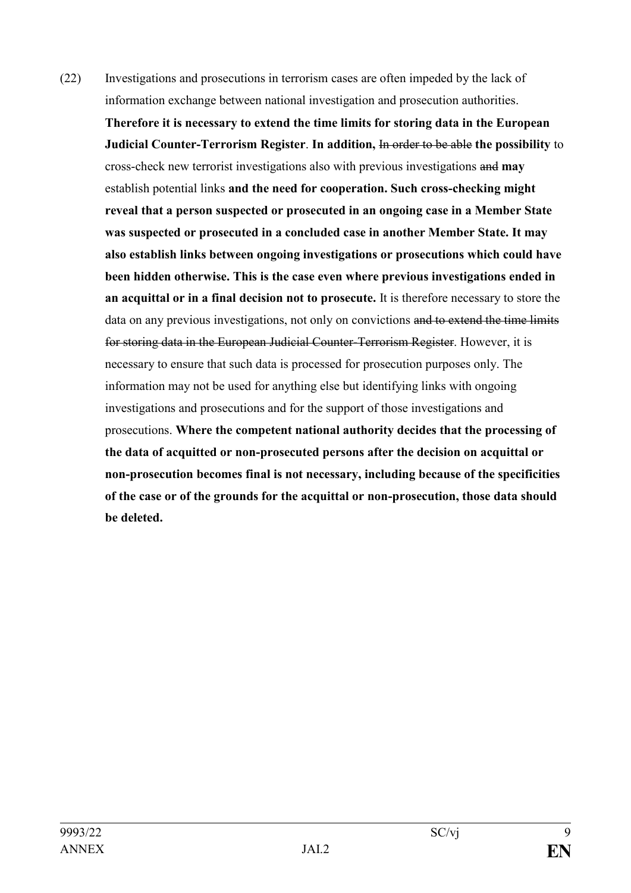(22) Investigations and prosecutions in terrorism cases are often impeded by the lack of information exchange between national investigation and prosecution authorities.

**Therefore it is necessary to extend the time limits for storing data in the European Judicial Counter-Terrorism Register**. **In addition,** In order to be able **the possibility** to cross-check new terrorist investigations also with previous investigations and **may** establish potential links **and the need for cooperation. Such cross-checking might reveal that a person suspected or prosecuted in an ongoing case in a Member State was suspected or prosecuted in a concluded case in another Member State. It may also establish links between ongoing investigations or prosecutions which could have been hidden otherwise. This is the case even where previous investigations ended in an acquittal or in a final decision not to prosecute.** It is therefore necessary to store the data on any previous investigations, not only on convictions and to extend the time limits for storing data in the European Judicial Counter-Terrorism Register. However, it is necessary to ensure that such data is processed for prosecution purposes only. The information may not be used for anything else but identifying links with ongoing investigations and prosecutions and for the support of those investigations and prosecutions. **Where the competent national authority decides that the processing of the data of acquitted or non-prosecuted persons after the decision on acquittal or non-prosecution becomes final is not necessary, including because of the specificities of the case or of the grounds for the acquittal or non-prosecution, those data should be deleted.**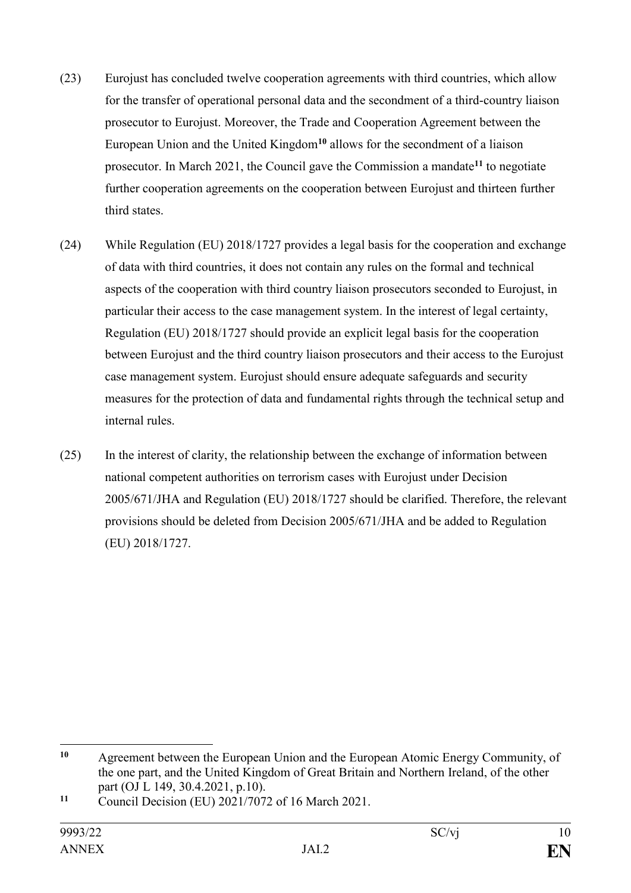- (23) Eurojust has concluded twelve cooperation agreements with third countries, which allow for the transfer of operational personal data and the secondment of a third-country liaison prosecutor to Eurojust. Moreover, the Trade and Cooperation Agreement between the European Union and the United Kingdom**<sup>10</sup>** allows for the secondment of a liaison prosecutor. In March 2021, the Council gave the Commission a mandate**<sup>11</sup>** to negotiate further cooperation agreements on the cooperation between Eurojust and thirteen further third states.
- (24) While Regulation (EU) 2018/1727 provides a legal basis for the cooperation and exchange of data with third countries, it does not contain any rules on the formal and technical aspects of the cooperation with third country liaison prosecutors seconded to Eurojust, in particular their access to the case management system. In the interest of legal certainty, Regulation (EU) 2018/1727 should provide an explicit legal basis for the cooperation between Eurojust and the third country liaison prosecutors and their access to the Eurojust case management system. Eurojust should ensure adequate safeguards and security measures for the protection of data and fundamental rights through the technical setup and internal rules.
- (25) In the interest of clarity, the relationship between the exchange of information between national competent authorities on terrorism cases with Eurojust under Decision 2005/671/JHA and Regulation (EU) 2018/1727 should be clarified. Therefore, the relevant provisions should be deleted from Decision 2005/671/JHA and be added to Regulation (EU) 2018/1727.

<sup>1</sup> **<sup>10</sup>** Agreement between the European Union and the European Atomic Energy Community, of the one part, and the United Kingdom of Great Britain and Northern Ireland, of the other part (OJ L 149, 30.4.2021, p.10).

**<sup>11</sup>** Council Decision (EU) 2021/7072 of 16 March 2021.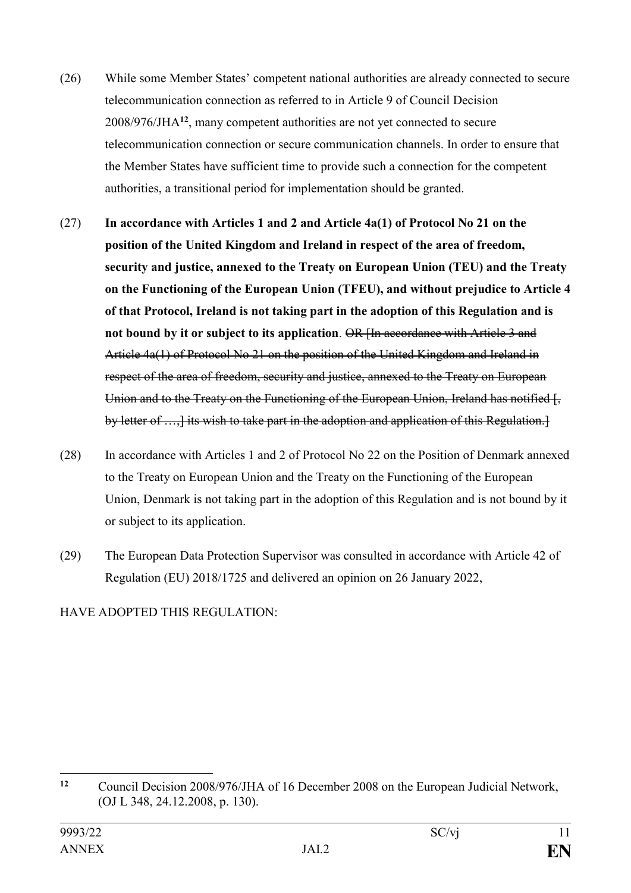- (26) While some Member States' competent national authorities are already connected to secure telecommunication connection as referred to in Article 9 of Council Decision 2008/976/JHA**<sup>12</sup>**, many competent authorities are not yet connected to secure telecommunication connection or secure communication channels. In order to ensure that the Member States have sufficient time to provide such a connection for the competent authorities, a transitional period for implementation should be granted.
- (27) **In accordance with Articles 1 and 2 and Article 4a(1) of Protocol No 21 on the position of the United Kingdom and Ireland in respect of the area of freedom, security and justice, annexed to the Treaty on European Union (TEU) and the Treaty on the Functioning of the European Union (TFEU), and without prejudice to Article 4 of that Protocol, Ireland is not taking part in the adoption of this Regulation and is not bound by it or subject to its application**. OR [In accordance with Article 3 and Article 4a(1) of Protocol No 21 on the position of the United Kingdom and Ireland in respect of the area of freedom, security and justice, annexed to the Treaty on European Union and to the Treaty on the Functioning of the European Union, Ireland has notified [, by letter of ..., its wish to take part in the adoption and application of this Regulation.
- (28) In accordance with Articles 1 and 2 of Protocol No 22 on the Position of Denmark annexed to the Treaty on European Union and the Treaty on the Functioning of the European Union, Denmark is not taking part in the adoption of this Regulation and is not bound by it or subject to its application.
- (29) The European Data Protection Supervisor was consulted in accordance with Article 42 of Regulation (EU) 2018/1725 and delivered an opinion on 26 January 2022,

## HAVE ADOPTED THIS REGULATION:

 $12$ **<sup>12</sup>** Council Decision 2008/976/JHA of 16 December 2008 on the European Judicial Network, (OJ L 348, 24.12.2008, p. 130).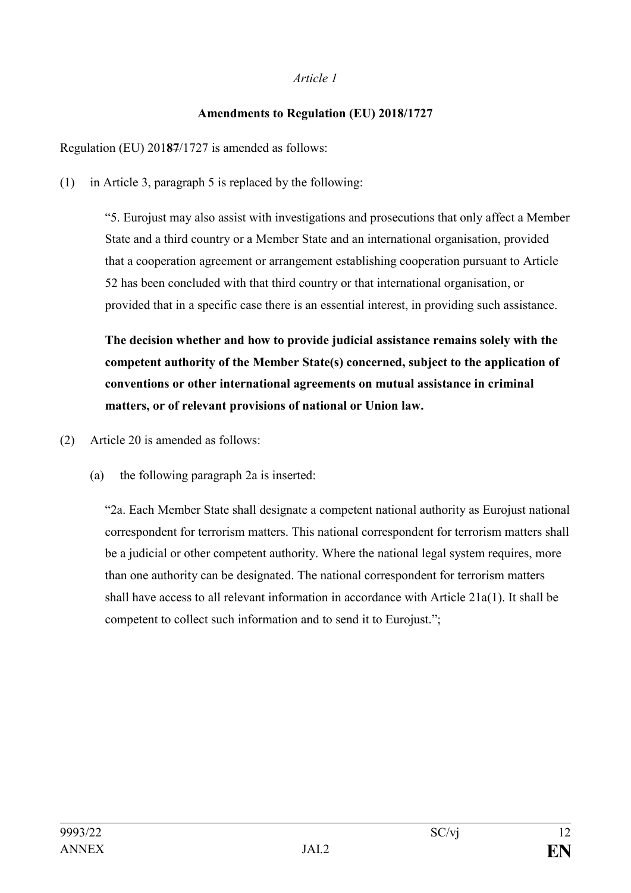#### *Article 1*

## **Amendments to Regulation (EU) 2018/1727**

Regulation (EU) 201**87**/1727 is amended as follows:

(1) in Article 3, paragraph 5 is replaced by the following:

"5. Eurojust may also assist with investigations and prosecutions that only affect a Member State and a third country or a Member State and an international organisation, provided that a cooperation agreement or arrangement establishing cooperation pursuant to Article 52 has been concluded with that third country or that international organisation, or provided that in a specific case there is an essential interest, in providing such assistance.

**The decision whether and how to provide judicial assistance remains solely with the competent authority of the Member State(s) concerned, subject to the application of conventions or other international agreements on mutual assistance in criminal matters, or of relevant provisions of national or Union law.**

(2) Article 20 is amended as follows:

(a) the following paragraph 2a is inserted:

"2a. Each Member State shall designate a competent national authority as Eurojust national correspondent for terrorism matters. This national correspondent for terrorism matters shall be a judicial or other competent authority. Where the national legal system requires, more than one authority can be designated. The national correspondent for terrorism matters shall have access to all relevant information in accordance with Article  $21a(1)$ . It shall be competent to collect such information and to send it to Eurojust.";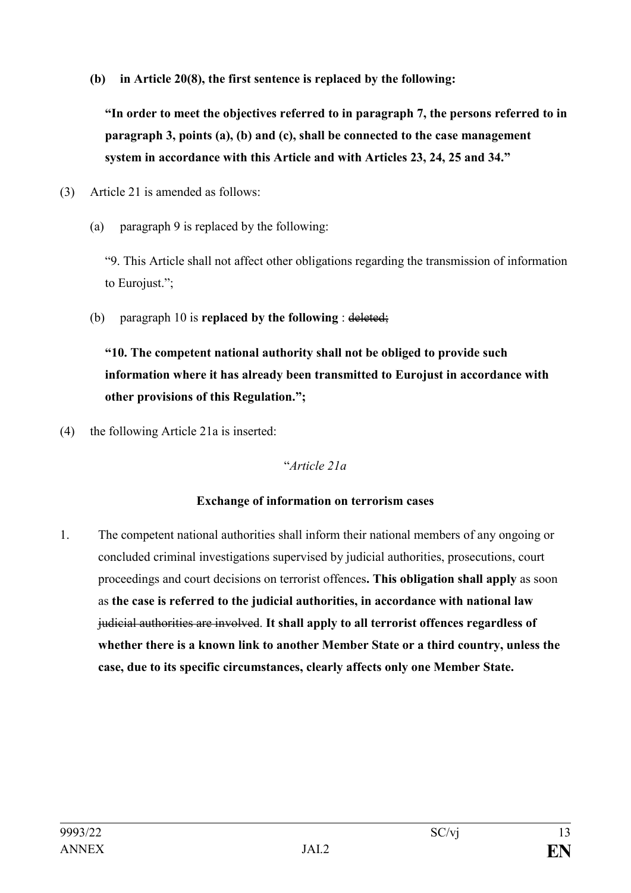**(b) in Article 20(8), the first sentence is replaced by the following:**

**"In order to meet the objectives referred to in paragraph 7, the persons referred to in paragraph 3, points (a), (b) and (c), shall be connected to the case management system in accordance with this Article and with Articles 23, 24, 25 and 34."**

- (3) Article 21 is amended as follows:
	- (a) paragraph 9 is replaced by the following:

"9. This Article shall not affect other obligations regarding the transmission of information to Eurojust.";

(b) paragraph 10 is **replaced by the following** : deleted;

**"10. The competent national authority shall not be obliged to provide such information where it has already been transmitted to Eurojust in accordance with other provisions of this Regulation.";**

(4) the following Article 21a is inserted:

## "*Article 21a*

## **Exchange of information on terrorism cases**

1. The competent national authorities shall inform their national members of any ongoing or concluded criminal investigations supervised by judicial authorities, prosecutions, court proceedings and court decisions on terrorist offences**. This obligation shall apply** as soon as **the case is referred to the judicial authorities, in accordance with national law** judicial authorities are involved. **It shall apply to all terrorist offences regardless of whether there is a known link to another Member State or a third country, unless the case, due to its specific circumstances, clearly affects only one Member State.**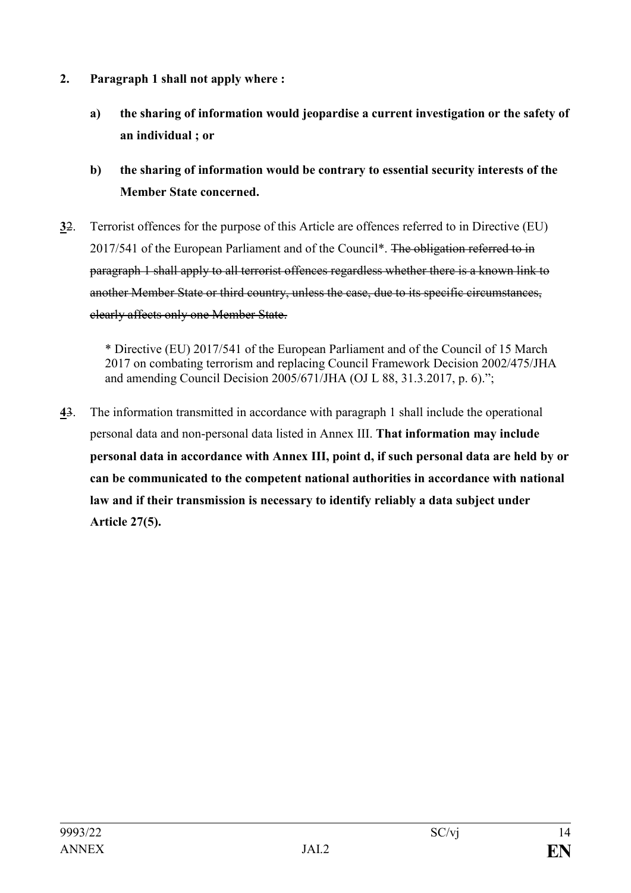- **2. Paragraph 1 shall not apply where :**
	- **a) the sharing of information would jeopardise a current investigation or the safety of an individual ; or**
	- **b) the sharing of information would be contrary to essential security interests of the Member State concerned.**
- **3**2. Terrorist offences for the purpose of this Article are offences referred to in Directive (EU) 2017/541 of the European Parliament and of the Council\*. The obligation referred to in paragraph 1 shall apply to all terrorist offences regardless whether there is a known link to another Member State or third country, unless the case, due to its specific circumstances, clearly affects only one Member State.

\* Directive (EU) 2017/541 of the European Parliament and of the Council of 15 March 2017 on combating terrorism and replacing Council Framework Decision 2002/475/JHA and amending Council Decision 2005/671/JHA (OJ L 88, 31.3.2017, p. 6).";

**4**3. The information transmitted in accordance with paragraph 1 shall include the operational personal data and non-personal data listed in Annex III. **That information may include personal data in accordance with Annex III, point d, if such personal data are held by or can be communicated to the competent national authorities in accordance with national law and if their transmission is necessary to identify reliably a data subject under Article 27(5).**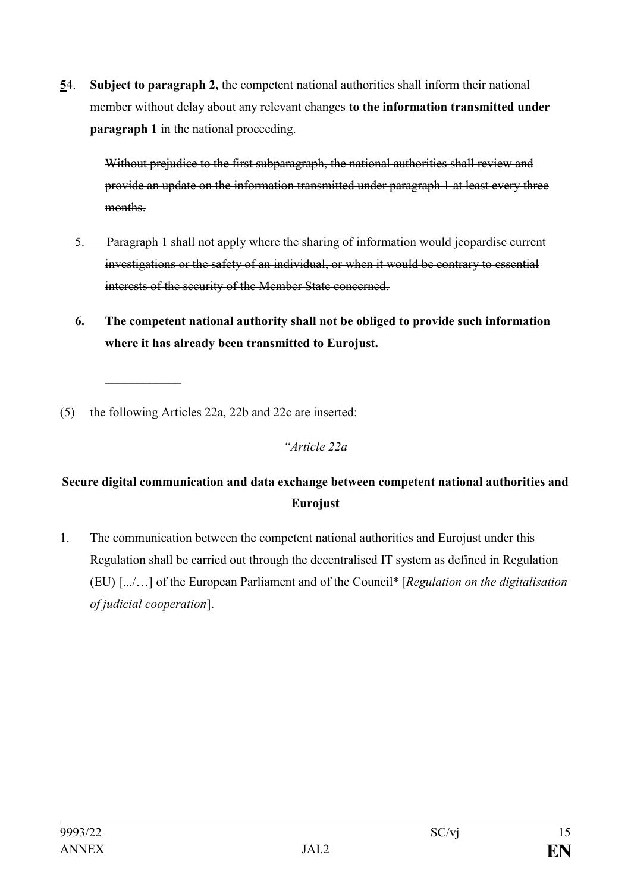**5**4. **Subject to paragraph 2,** the competent national authorities shall inform their national member without delay about any relevant changes **to the information transmitted under paragraph 1** in the national proceeding.

Without prejudice to the first subparagraph, the national authorities shall review and provide an update on the information transmitted under paragraph 1 at least every three months.

- 5. Paragraph 1 shall not apply where the sharing of information would jeopardise current investigations or the safety of an individual, or when it would be contrary to essential interests of the security of the Member State concerned.
- **6. The competent national authority shall not be obliged to provide such information where it has already been transmitted to Eurojust.**

(5) the following Articles 22a, 22b and 22c are inserted:

 $\mathcal{L}_\text{max}$ 

#### *"Article 22a*

# **Secure digital communication and data exchange between competent national authorities and Eurojust**

1. The communication between the competent national authorities and Eurojust under this Regulation shall be carried out through the decentralised IT system as defined in Regulation (EU) [.../…] of the European Parliament and of the Council\* [*Regulation on the digitalisation of judicial cooperation*].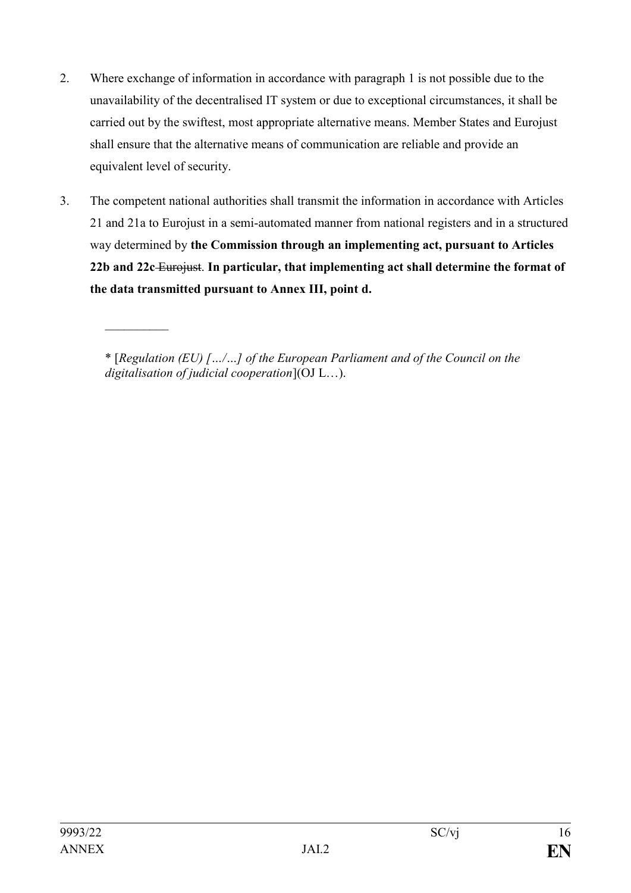- 2. Where exchange of information in accordance with paragraph 1 is not possible due to the unavailability of the decentralised IT system or due to exceptional circumstances, it shall be carried out by the swiftest, most appropriate alternative means. Member States and Eurojust shall ensure that the alternative means of communication are reliable and provide an equivalent level of security.
- 3. The competent national authorities shall transmit the information in accordance with Articles 21 and 21a to Eurojust in a semi-automated manner from national registers and in a structured way determined by **the Commission through an implementing act, pursuant to Articles 22b and 22c** Eurojust. **In particular, that implementing act shall determine the format of the data transmitted pursuant to Annex III, point d.**

\* [*Regulation (EU) […/…] of the European Parliament and of the Council on the digitalisation of judicial cooperation*](OJ L…).

 $\frac{1}{2}$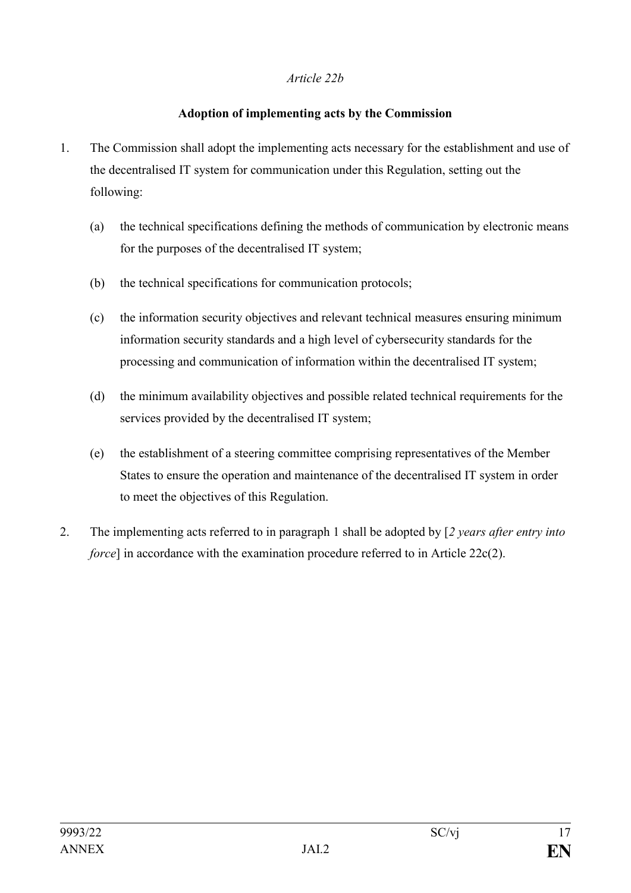#### *Article 22b*

#### **Adoption of implementing acts by the Commission**

- 1. The Commission shall adopt the implementing acts necessary for the establishment and use of the decentralised IT system for communication under this Regulation, setting out the following:
	- (a) the technical specifications defining the methods of communication by electronic means for the purposes of the decentralised IT system;
	- (b) the technical specifications for communication protocols;
	- (c) the information security objectives and relevant technical measures ensuring minimum information security standards and a high level of cybersecurity standards for the processing and communication of information within the decentralised IT system;
	- (d) the minimum availability objectives and possible related technical requirements for the services provided by the decentralised IT system;
	- (e) the establishment of a steering committee comprising representatives of the Member States to ensure the operation and maintenance of the decentralised IT system in order to meet the objectives of this Regulation.
- 2. The implementing acts referred to in paragraph 1 shall be adopted by [*2 years after entry into force*] in accordance with the examination procedure referred to in Article 22c(2).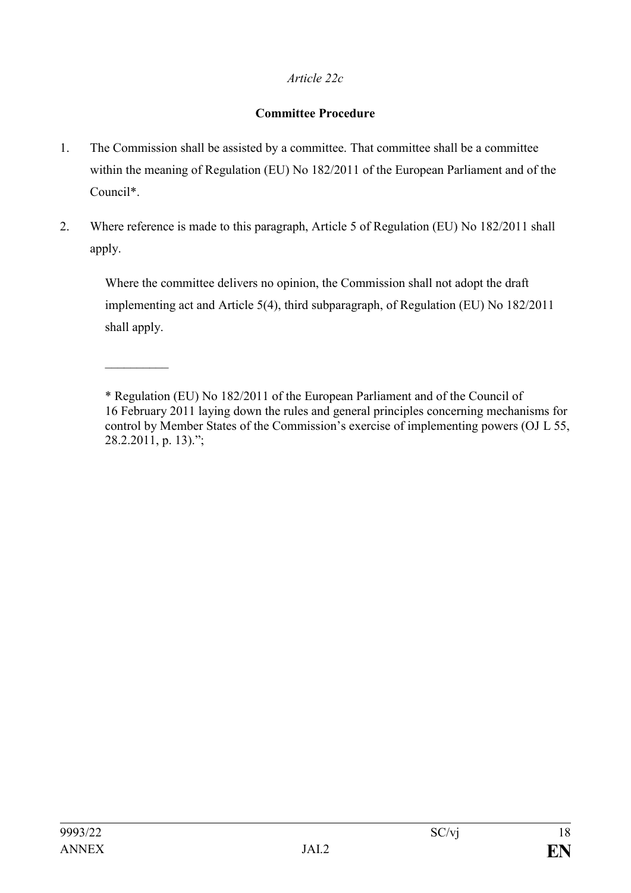## *Article 22c*

## **Committee Procedure**

- 1. The Commission shall be assisted by a committee. That committee shall be a committee within the meaning of Regulation (EU) No 182/2011 of the European Parliament and of the Council\*.
- 2. Where reference is made to this paragraph, Article 5 of Regulation (EU) No 182/2011 shall apply.

Where the committee delivers no opinion, the Commission shall not adopt the draft implementing act and Article 5(4), third subparagraph, of Regulation (EU) No 182/2011 shall apply.

 $\frac{1}{2}$ 

<sup>\*</sup> Regulation (EU) No 182/2011 of the European Parliament and of the Council of 16 February 2011 laying down the rules and general principles concerning mechanisms for control by Member States of the Commission's exercise of implementing powers (OJ L 55, 28.2.2011, p. 13).";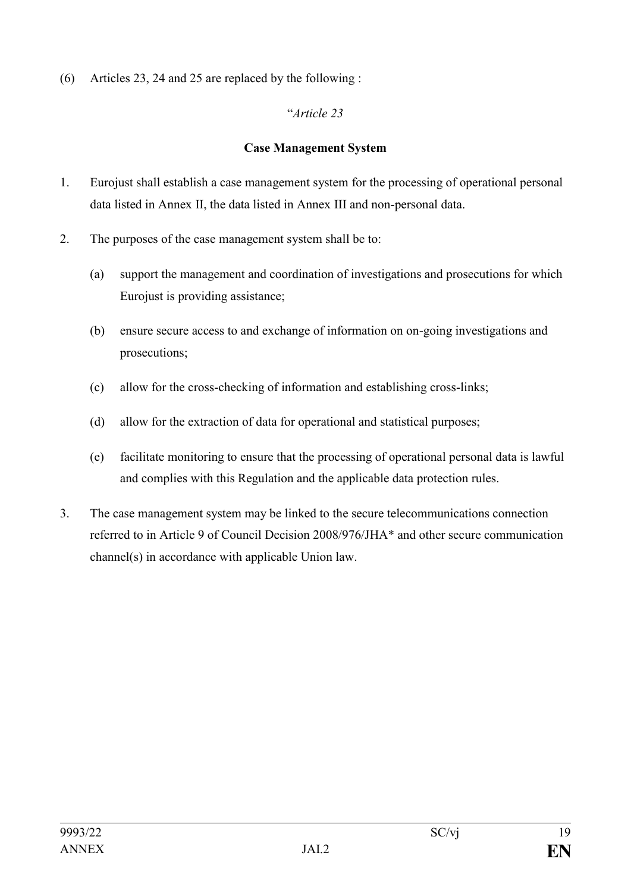(6) Articles 23, 24 and 25 are replaced by the following :

## "*Article 23*

## **Case Management System**

- 1. Eurojust shall establish a case management system for the processing of operational personal data listed in Annex II, the data listed in Annex III and non-personal data.
- 2. The purposes of the case management system shall be to:
	- (a) support the management and coordination of investigations and prosecutions for which Eurojust is providing assistance;
	- (b) ensure secure access to and exchange of information on on-going investigations and prosecutions;
	- (c) allow for the cross-checking of information and establishing cross-links;
	- (d) allow for the extraction of data for operational and statistical purposes;
	- (e) facilitate monitoring to ensure that the processing of operational personal data is lawful and complies with this Regulation and the applicable data protection rules.
- 3. The case management system may be linked to the secure telecommunications connection referred to in Article 9 of Council Decision 2008/976/JHA\* and other secure communication channel(s) in accordance with applicable Union law.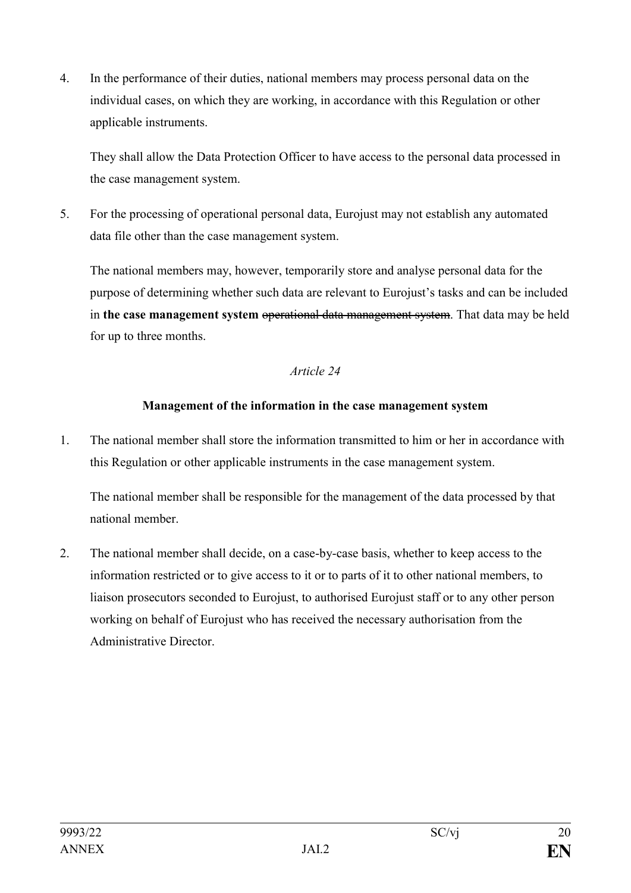4. In the performance of their duties, national members may process personal data on the individual cases, on which they are working, in accordance with this Regulation or other applicable instruments.

They shall allow the Data Protection Officer to have access to the personal data processed in the case management system.

5. For the processing of operational personal data, Eurojust may not establish any automated data file other than the case management system.

The national members may, however, temporarily store and analyse personal data for the purpose of determining whether such data are relevant to Eurojust's tasks and can be included in **the case management system** operational data management system. That data may be held for up to three months.

## *Article 24*

## **Management of the information in the case management system**

1. The national member shall store the information transmitted to him or her in accordance with this Regulation or other applicable instruments in the case management system.

The national member shall be responsible for the management of the data processed by that national member.

2. The national member shall decide, on a case-by-case basis, whether to keep access to the information restricted or to give access to it or to parts of it to other national members, to liaison prosecutors seconded to Eurojust, to authorised Eurojust staff or to any other person working on behalf of Eurojust who has received the necessary authorisation from the Administrative Director.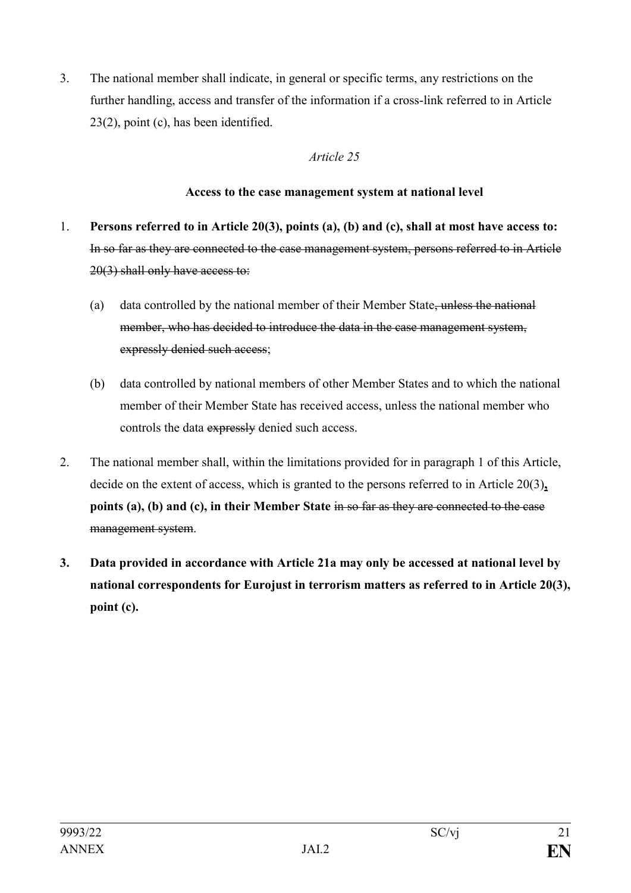3. The national member shall indicate, in general or specific terms, any restrictions on the further handling, access and transfer of the information if a cross-link referred to in Article 23(2), point (c), has been identified.

## *Article 25*

#### **Access to the case management system at national level**

- 1. **Persons referred to in Article 20(3), points (a), (b) and (c), shall at most have access to:** In so far as they are connected to the case management system, persons referred to in Article 20(3) shall only have access to:
	- (a) data controlled by the national member of their Member State, unless the national member, who has decided to introduce the data in the case management system, expressly denied such access;
	- (b) data controlled by national members of other Member States and to which the national member of their Member State has received access, unless the national member who controls the data expressly denied such access.
- 2. The national member shall, within the limitations provided for in paragraph 1 of this Article, decide on the extent of access, which is granted to the persons referred to in Article 20(3)**, points (a), (b) and (c), in their Member State** in so far as they are connected to the case management system.
- **3. Data provided in accordance with Article 21a may only be accessed at national level by national correspondents for Eurojust in terrorism matters as referred to in Article 20(3), point (c).**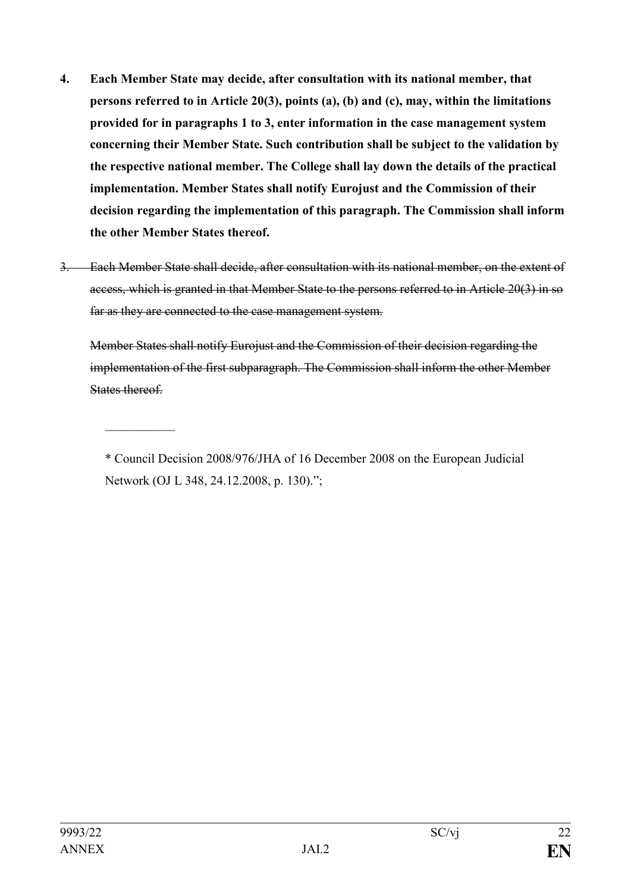- **4. Each Member State may decide, after consultation with its national member, that persons referred to in Article 20(3), points (a), (b) and (c), may, within the limitations provided for in paragraphs 1 to 3, enter information in the case management system concerning their Member State. Such contribution shall be subject to the validation by the respective national member. The College shall lay down the details of the practical implementation. Member States shall notify Eurojust and the Commission of their decision regarding the implementation of this paragraph. The Commission shall inform the other Member States thereof.**
- 3. Each Member State shall decide, after consultation with its national member, on the extent of access, which is granted in that Member State to the persons referred to in Article 20(3) in so far as they are connected to the case management system.

Member States shall notify Eurojust and the Commission of their decision regarding the implementation of the first subparagraph. The Commission shall inform the other Member States thereof.

 $\frac{1}{2}$ 

<sup>\*</sup> Council Decision 2008/976/JHA of 16 December 2008 on the European Judicial Network (OJ L 348, 24.12.2008, p. 130).";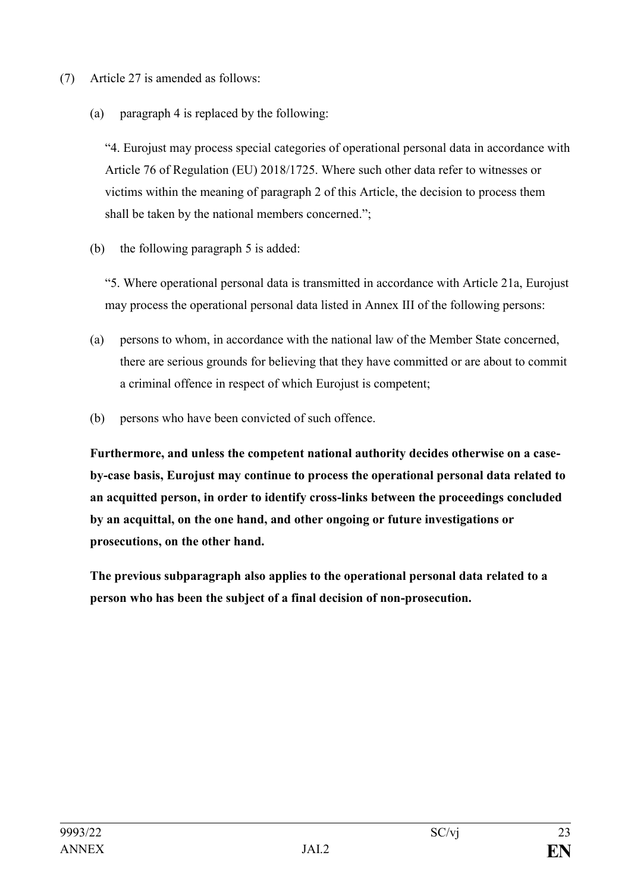- (7) Article 27 is amended as follows:
	- (a) paragraph 4 is replaced by the following:

"4. Eurojust may process special categories of operational personal data in accordance with Article 76 of Regulation (EU) 2018/1725. Where such other data refer to witnesses or victims within the meaning of paragraph 2 of this Article, the decision to process them shall be taken by the national members concerned.";

(b) the following paragraph 5 is added:

"5. Where operational personal data is transmitted in accordance with Article 21a, Eurojust may process the operational personal data listed in Annex III of the following persons:

- (a) persons to whom, in accordance with the national law of the Member State concerned, there are serious grounds for believing that they have committed or are about to commit a criminal offence in respect of which Eurojust is competent;
- (b) persons who have been convicted of such offence.

**Furthermore, and unless the competent national authority decides otherwise on a caseby-case basis, Eurojust may continue to process the operational personal data related to an acquitted person, in order to identify cross-links between the proceedings concluded by an acquittal, on the one hand, and other ongoing or future investigations or prosecutions, on the other hand.** 

**The previous subparagraph also applies to the operational personal data related to a person who has been the subject of a final decision of non-prosecution.**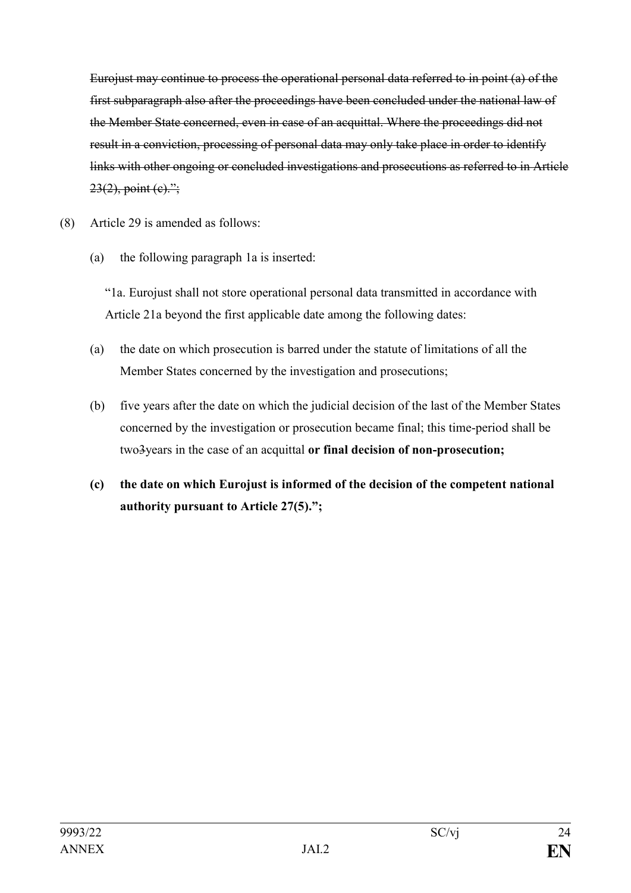Eurojust may continue to process the operational personal data referred to in point (a) of the first subparagraph also after the proceedings have been concluded under the national law of the Member State concerned, even in case of an acquittal. Where the proceedings did not result in a conviction, processing of personal data may only take place in order to identify links with other ongoing or concluded investigations and prosecutions as referred to in Article  $23(2)$ , point (c).";

- (8) Article 29 is amended as follows:
	- (a) the following paragraph 1a is inserted:

"1a. Eurojust shall not store operational personal data transmitted in accordance with Article 21a beyond the first applicable date among the following dates:

- (a) the date on which prosecution is barred under the statute of limitations of all the Member States concerned by the investigation and prosecutions;
- (b) five years after the date on which the judicial decision of the last of the Member States concerned by the investigation or prosecution became final; this time-period shall be two3years in the case of an acquittal **or final decision of non-prosecution;**
- **(c) the date on which Eurojust is informed of the decision of the competent national authority pursuant to Article 27(5).";**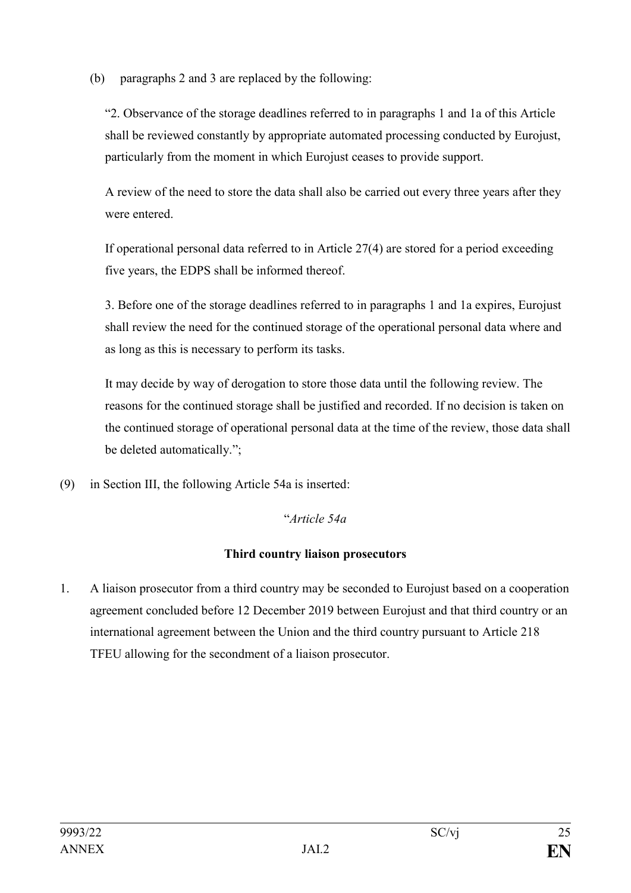(b) paragraphs 2 and 3 are replaced by the following:

"2. Observance of the storage deadlines referred to in paragraphs 1 and 1a of this Article shall be reviewed constantly by appropriate automated processing conducted by Eurojust, particularly from the moment in which Eurojust ceases to provide support.

A review of the need to store the data shall also be carried out every three years after they were entered.

If operational personal data referred to in Article 27(4) are stored for a period exceeding five years, the EDPS shall be informed thereof.

3. Before one of the storage deadlines referred to in paragraphs 1 and 1a expires, Eurojust shall review the need for the continued storage of the operational personal data where and as long as this is necessary to perform its tasks.

It may decide by way of derogation to store those data until the following review. The reasons for the continued storage shall be justified and recorded. If no decision is taken on the continued storage of operational personal data at the time of the review, those data shall be deleted automatically.";

(9) in Section III, the following Article 54a is inserted:

## "*Article 54a*

## **Third country liaison prosecutors**

1. A liaison prosecutor from a third country may be seconded to Eurojust based on a cooperation agreement concluded before 12 December 2019 between Eurojust and that third country or an international agreement between the Union and the third country pursuant to Article 218 TFEU allowing for the secondment of a liaison prosecutor.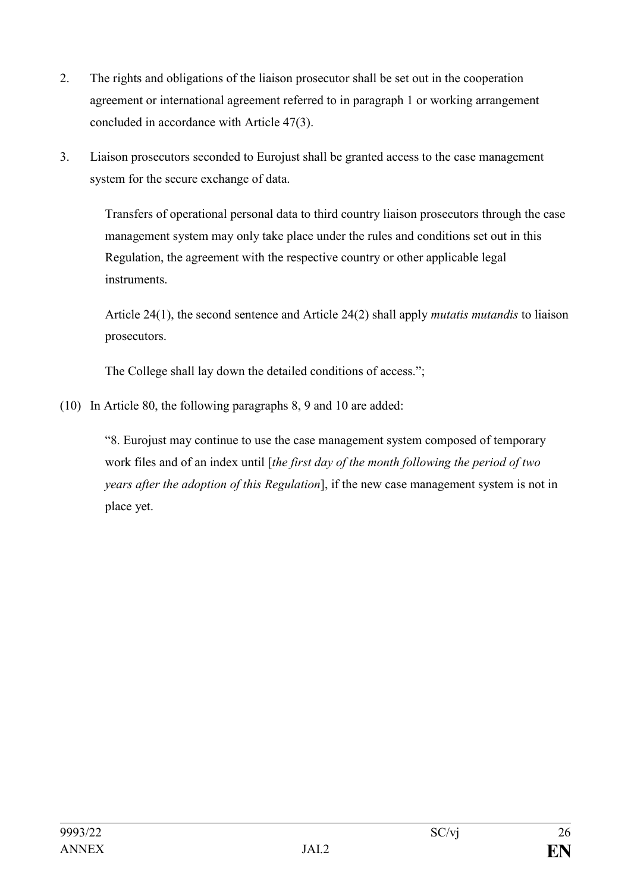- 2. The rights and obligations of the liaison prosecutor shall be set out in the cooperation agreement or international agreement referred to in paragraph 1 or working arrangement concluded in accordance with Article 47(3).
- 3. Liaison prosecutors seconded to Eurojust shall be granted access to the case management system for the secure exchange of data.

Transfers of operational personal data to third country liaison prosecutors through the case management system may only take place under the rules and conditions set out in this Regulation, the agreement with the respective country or other applicable legal instruments.

Article 24(1), the second sentence and Article 24(2) shall apply *mutatis mutandis* to liaison prosecutors.

The College shall lay down the detailed conditions of access.";

(10) In Article 80, the following paragraphs 8, 9 and 10 are added:

"8. Eurojust may continue to use the case management system composed of temporary work files and of an index until [*the first day of the month following the period of two years after the adoption of this Regulation*], if the new case management system is not in place yet.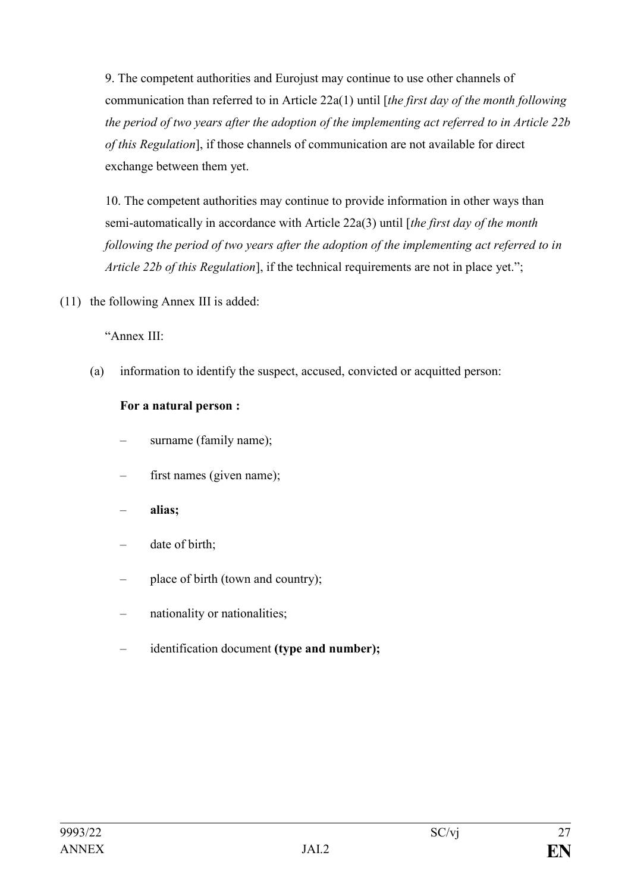9. The competent authorities and Eurojust may continue to use other channels of communication than referred to in Article 22a(1) until [*the first day of the month following the period of two years after the adoption of the implementing act referred to in Article 22b of this Regulation*], if those channels of communication are not available for direct exchange between them yet.

10. The competent authorities may continue to provide information in other ways than semi-automatically in accordance with Article 22a(3) until [*the first day of the month following the period of two years after the adoption of the implementing act referred to in Article 22b of this Regulation*], if the technical requirements are not in place yet.";

(11) the following Annex III is added:

"Annex III:

(a) information to identify the suspect, accused, convicted or acquitted person:

#### **For a natural person :**

- surname (family name);
- first names (given name);
- **alias;**
- date of birth;
- place of birth (town and country);
- nationality or nationalities;
- identification document (type and number);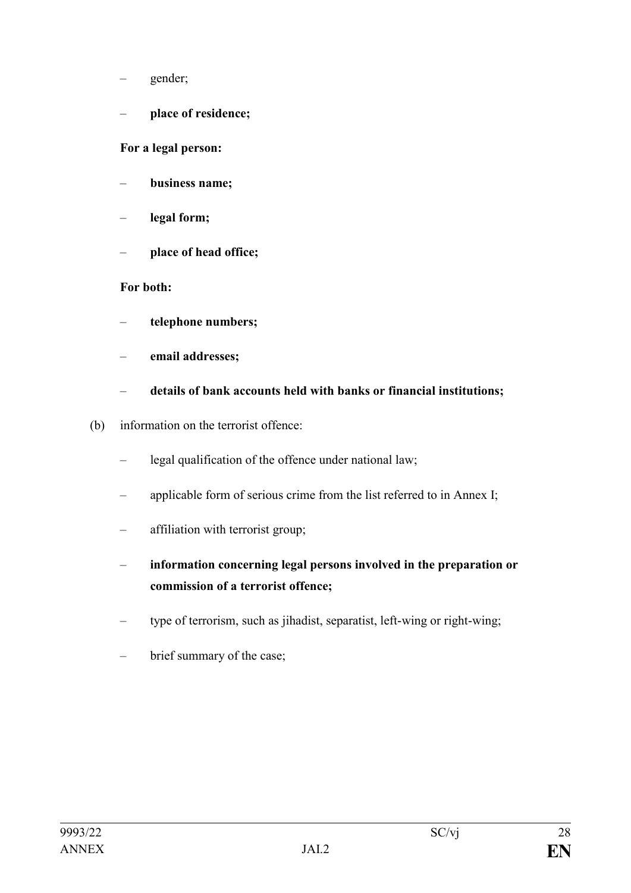- gender;
- **place of residence;**

**For a legal person:** 

- **business name;**
- **legal form;**
- **place of head office;**

#### **For both:**

- **telephone numbers;**
- **email addresses;**
- **details of bank accounts held with banks or financial institutions;**
- (b) information on the terrorist offence:
	- legal qualification of the offence under national law;
	- applicable form of serious crime from the list referred to in Annex I;
	- affiliation with terrorist group;
	- **information concerning legal persons involved in the preparation or commission of a terrorist offence;**
	- type of terrorism, such as jihadist, separatist, left-wing or right-wing;
	- brief summary of the case;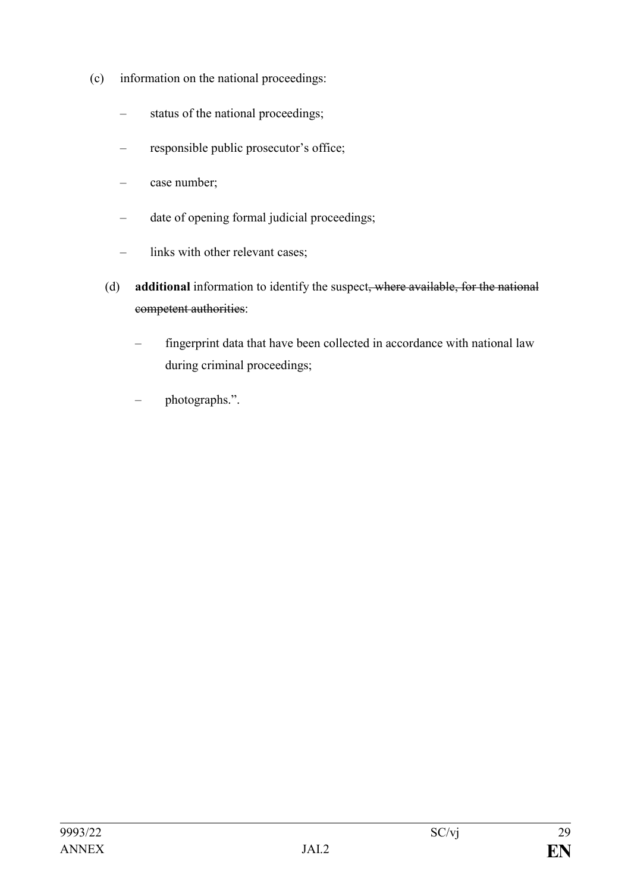- (c) information on the national proceedings:
	- status of the national proceedings;
	- responsible public prosecutor's office;
	- case number;
	- date of opening formal judicial proceedings;
	- links with other relevant cases;
	- (d) **additional** information to identify the suspect, where available, for the national competent authorities:
		- fingerprint data that have been collected in accordance with national law during criminal proceedings;
		- photographs.".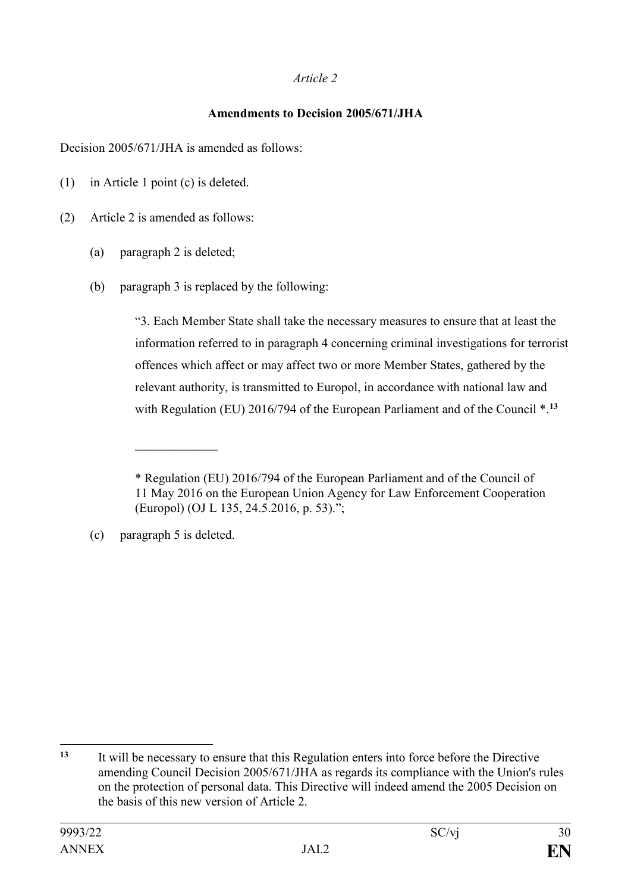#### *Article 2*

#### **Amendments to Decision 2005/671/JHA**

Decision 2005/671/JHA is amended as follows:

(1) in Article 1 point (c) is deleted.

(2) Article 2 is amended as follows:

- (a) paragraph 2 is deleted;
- (b) paragraph 3 is replaced by the following:

"3. Each Member State shall take the necessary measures to ensure that at least the information referred to in paragraph 4 concerning criminal investigations for terrorist offences which affect or may affect two or more Member States, gathered by the relevant authority, is transmitted to Europol, in accordance with national law and with Regulation (EU) 2016/794 of the European Parliament and of the Council \*.**<sup>13</sup>**

(c) paragraph 5 is deleted.

 $\frac{1}{2}$ 

<sup>\*</sup> Regulation (EU) 2016/794 of the European Parliament and of the Council of 11 May 2016 on the European Union Agency for Law Enforcement Cooperation (Europol) (OJ L 135, 24.5.2016, p. 53).";

<sup>1</sup> **<sup>13</sup>** It will be necessary to ensure that this Regulation enters into force before the Directive amending Council Decision 2005/671/JHA as regards its compliance with the Union's rules on the protection of personal data. This Directive will indeed amend the 2005 Decision on the basis of this new version of Article 2.